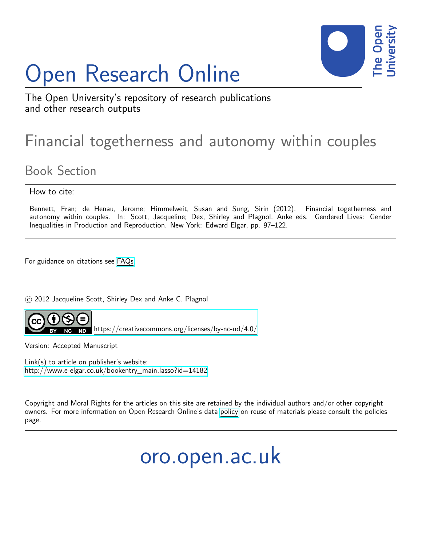# Open Research Online



The Open University's repository of research publications and other research outputs

## Financial togetherness and autonomy within couples

## Book Section

How to cite:

Bennett, Fran; de Henau, Jerome; Himmelweit, Susan and Sung, Sirin (2012). Financial togetherness and autonomy within couples. In: Scott, Jacqueline; Dex, Shirley and Plagnol, Anke eds. Gendered Lives: Gender Inequalities in Production and Reproduction. New York: Edward Elgar, pp. 97–122.

For guidance on citations see [FAQs.](http://oro.open.ac.uk/help/helpfaq.html)

 $\circ$  2012 Jacqueline Scott, Shirley Dex and Anke C. Plagnol



<https://creativecommons.org/licenses/by-nc-nd/4.0/>

Version: Accepted Manuscript

Link(s) to article on publisher's website: [http://www.e-elgar.co.uk/bookentry\\_main.lasso?id=14182](http://www.e-elgar.co.uk/bookentry_main.lasso?id=14182)

Copyright and Moral Rights for the articles on this site are retained by the individual authors and/or other copyright owners. For more information on Open Research Online's data [policy](http://oro.open.ac.uk/policies.html) on reuse of materials please consult the policies page.

oro.open.ac.uk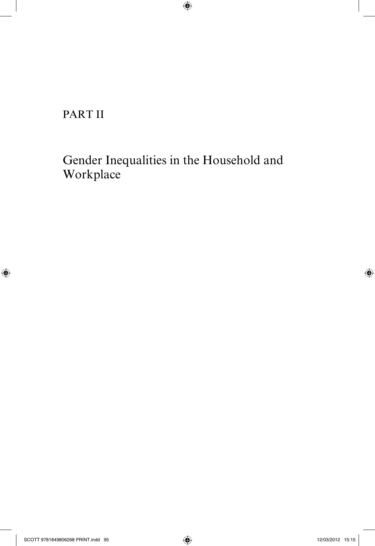PART II

 $\bigoplus$ 

## Gender Inequalities in the Household and Workplace

 $\bigoplus$ 

 $\bigoplus$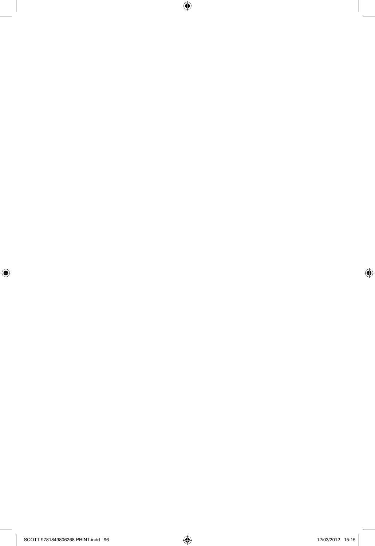

 $\overline{\phantom{a}}$ 

 $\bigoplus$ 

 $\bigoplus$ 

 $\bigoplus$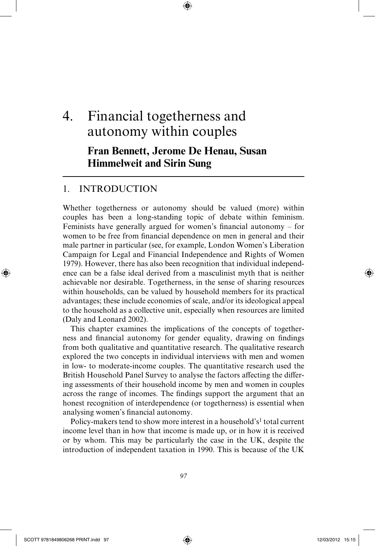## 4. Financial togetherness and autonomy within couples **Fran Bennett, Jerome De Henau, Susan Himmelweit and Sirin Sung**

⊕

#### 1. INTRODUCTION

Whether togetherness or autonomy should be valued (more) within couples has been a long- standing topic of debate within feminism. Feminists have generally argued for women's financial autonomy  $-$  for women to be free from financial dependence on men in general and their male partner in particular (see, for example, London Women's Liberation Campaign for Legal and Financial Independence and Rights of Women 1979). However, there has also been recognition that individual independence can be a false ideal derived from a masculinist myth that is neither achievable nor desirable. Togetherness, in the sense of sharing resources within households, can be valued by household members for its practical advantages; these include economies of scale, and/or its ideological appeal to the household as a collective unit, especially when resources are limited (Daly and Leonard 2002).

This chapter examines the implications of the concepts of togetherness and financial autonomy for gender equality, drawing on findings from both qualitative and quantitative research. The qualitative research explored the two concepts in individual interviews with men and women in low- to moderate-income couples. The quantitative research used the British Household Panel Survey to analyse the factors affecting the differing assessments of their household income by men and women in couples across the range of incomes. The findings support the argument that an honest recognition of interdependence (or togetherness) is essential when analysing women's financial autonomy.

Policy-makers tend to show more interest in a household's<sup>1</sup> total current income level than in how that income is made up, or in how it is received or by whom. This may be particularly the case in the UK, despite the introduction of independent taxation in 1990. This is because of the UK

⊕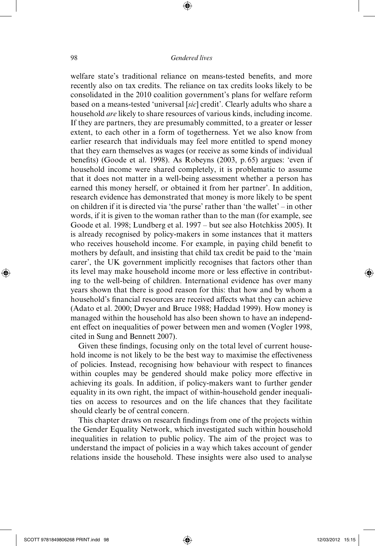⊕

welfare state's traditional reliance on means-tested benefits, and more recently also on tax credits. The reliance on tax credits looks likely to be consolidated in the 2010 coalition government's plans for welfare reform based on a means- tested 'universal [*sic*] credit'. Clearly adults who share a household *are* likely to share resources of various kinds, including income. If they are partners, they are presumably committed, to a greater or lesser extent, to each other in a form of togetherness. Yet we also know from earlier research that individuals may feel more entitled to spend money that they earn themselves as wages (or receive as some kinds of individual benefits) (Goode et al. 1998). As Robeyns (2003, p. 65) argues: 'even if household income were shared completely, it is problematic to assume that it does not matter in a well-being assessment whether a person has earned this money herself, or obtained it from her partner'. In addition, research evidence has demonstrated that money is more likely to be spent on children if it is directed via 'the purse' rather than 'the wallet' – in other words, if it is given to the woman rather than to the man (for example, see Goode et al. 1998; Lundberg et al. 1997 – but see also Hotchkiss 2005). It is already recognised by policy- makers in some instances that it matters who receives household income. For example, in paying child benefit to mothers by default, and insisting that child tax credit be paid to the 'main carer', the UK government implicitly recognises that factors other than its level may make household income more or less effective in contributing to the well-being of children. International evidence has over many years shown that there is good reason for this: that how and by whom a household's financial resources are received affects what they can achieve (Adato et al. 2000; Dwyer and Bruce 1988; Haddad 1999). How money is managed within the household has also been shown to have an independent effect on inequalities of power between men and women (Vogler 1998, cited in Sung and Bennett 2007).

Given these findings, focusing only on the total level of current household income is not likely to be the best way to maximise the effectiveness of policies. Instead, recognising how behaviour with respect to finances within couples may be gendered should make policy more effective in achieving its goals. In addition, if policy- makers want to further gender equality in its own right, the impact of within- household gender inequalities on access to resources and on the life chances that they facilitate should clearly be of central concern.

This chapter draws on research findings from one of the projects within the Gender Equality Network, which investigated such within household inequalities in relation to public policy. The aim of the project was to understand the impact of policies in a way which takes account of gender relations inside the household. These insights were also used to analyse

⊕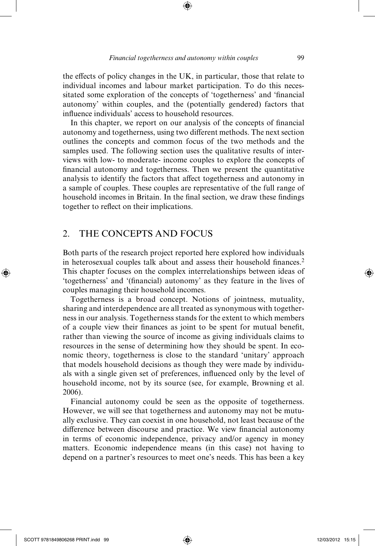the effects of policy changes in the UK, in particular, those that relate to individual incomes and labour market participation. To do this necessitated some exploration of the concepts of 'togetherness' and 'financial autonomy' within couples, and the (potentially gendered) factors that influence individuals' access to household resources.

In this chapter, we report on our analysis of the concepts of financial autonomy and togetherness, using two different methods. The next section outlines the concepts and common focus of the two methods and the samples used. The following section uses the qualitative results of interviews with low- to moderate- income couples to explore the concepts of financial autonomy and togetherness. Then we present the quantitative analysis to identify the factors that affect togetherness and autonomy in a sample of couples. These couples are representative of the full range of household incomes in Britain. In the final section, we draw these findings together to reflect on their implications.

#### 2. THE CONCEPTS AND FOCUS

Both parts of the research project reported here explored how individuals in heterosexual couples talk about and assess their household finances.<sup>2</sup> This chapter focuses on the complex interrelationships between ideas of 'togetherness' and '(financial) autonomy' as they feature in the lives of couples managing their household incomes.

Togetherness is a broad concept. Notions of jointness, mutuality, sharing and interdependence are all treated as synonymous with togetherness in our analysis. Togetherness stands for the extent to which members of a couple view their finances as joint to be spent for mutual benefit, rather than viewing the source of income as giving individuals claims to resources in the sense of determining how they should be spent. In economic theory, togetherness is close to the standard 'unitary' approach that models household decisions as though they were made by individuals with a single given set of preferences, influenced only by the level of household income, not by its source (see, for example, Browning et al. 2006).

Financial autonomy could be seen as the opposite of togetherness. However, we will see that togetherness and autonomy may not be mutually exclusive. They can coexist in one household, not least because of the difference between discourse and practice. We view financial autonomy in terms of economic independence, privacy and/or agency in money matters. Economic independence means (in this case) not having to depend on a partner's resources to meet one's needs. This has been a key

⊕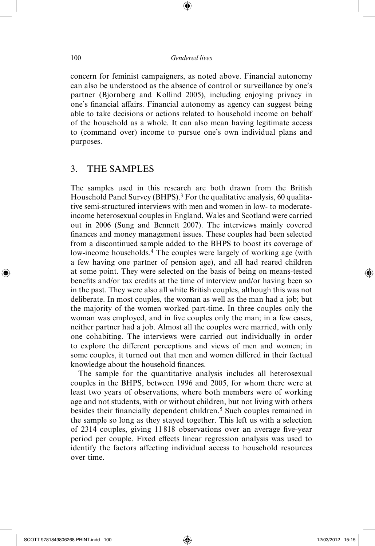⊕

concern for feminist campaigners, as noted above. Financial autonomy can also be understood as the absence of control or surveillance by one's partner (Bjornberg and Kollind 2005), including enjoying privacy in one's financial affairs. Financial autonomy as agency can suggest being able to take decisions or actions related to household income on behalf of the household as a whole. It can also mean having legitimate access to (command over) income to pursue one's own individual plans and purposes.

#### 3. THE SAMPLES

The samples used in this research are both drawn from the British Household Panel Survey (BHPS).3 For the qualitative analysis, 60 qualitative semi- structured interviews with men and women in low- to moderateincome heterosexual couples in England, Wales and Scotland were carried out in 2006 (Sung and Bennett 2007). The interviews mainly covered finances and money management issues. These couples had been selected from a discontinued sample added to the BHPS to boost its coverage of low-income households.<sup>4</sup> The couples were largely of working age (with a few having one partner of pension age), and all had reared children at some point. They were selected on the basis of being on means- tested benefits and/or tax credits at the time of interview and/or having been so in the past. They were also all white British couples, although this was not deliberate. In most couples, the woman as well as the man had a job; but the majority of the women worked part- time. In three couples only the woman was employed, and in five couples only the man; in a few cases, neither partner had a job. Almost all the couples were married, with only one cohabiting. The interviews were carried out individually in order to explore the different perceptions and views of men and women; in some couples, it turned out that men and women differed in their factual knowledge about the household finances.

The sample for the quantitative analysis includes all heterosexual couples in the BHPS, between 1996 and 2005, for whom there were at least two years of observations, where both members were of working age and not students, with or without children, but not living with others besides their financially dependent children.<sup>5</sup> Such couples remained in the sample so long as they stayed together. This left us with a selection of 2314 couples, giving 11818 observations over an average five-year period per couple. Fixed effects linear regression analysis was used to identify the factors affecting individual access to household resources over time.

⊕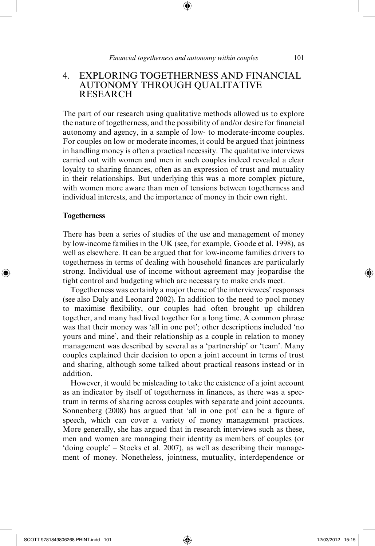#### 4. EXPLORING TOGETHERNESS AND FINANCIAL AUTONOMY THROUGH QUALITATIVE **RESEARCH**

The part of our research using qualitative methods allowed us to explore the nature of togetherness, and the possibility of and/or desire for financial autonomy and agency, in a sample of low- to moderate- income couples. For couples on low or moderate incomes, it could be argued that jointness in handling money is often a practical necessity. The qualitative interviews carried out with women and men in such couples indeed revealed a clear loyalty to sharing finances, often as an expression of trust and mutuality in their relationships. But underlying this was a more complex picture, with women more aware than men of tensions between togetherness and individual interests, and the importance of money in their own right.

#### **Togetherness**

⊕

There has been a series of studies of the use and management of money by low- income families in the UK (see, for example, Goode et al. 1998), as well as elsewhere. It can be argued that for low-income families drivers to togetherness in terms of dealing with household finances are particularly strong. Individual use of income without agreement may jeopardise the tight control and budgeting which are necessary to make ends meet.

Togetherness was certainly a major theme of the interviewees' responses (see also Daly and Leonard 2002). In addition to the need to pool money to maximise flexibility, our couples had often brought up children together, and many had lived together for a long time. A common phrase was that their money was 'all in one pot'; other descriptions included 'no yours and mine', and their relationship as a couple in relation to money management was described by several as a 'partnership' or 'team'. Many couples explained their decision to open a joint account in terms of trust and sharing, although some talked about practical reasons instead or in addition.

However, it would be misleading to take the existence of a joint account as an indicator by itself of togetherness in finances, as there was a spectrum in terms of sharing across couples with separate and joint accounts. Sonnenberg (2008) has argued that 'all in one pot' can be a figure of speech, which can cover a variety of money management practices. More generally, she has argued that in research interviews such as these, men and women are managing their identity as members of couples (or 'doing couple' – Stocks et al. 2007), as well as describing their management of money. Nonetheless, jointness, mutuality, interdependence or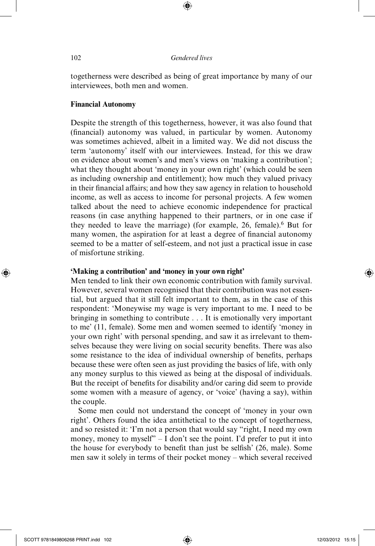⊕

togetherness were described as being of great importance by many of our interviewees, both men and women.

#### **Financial Autonomy**

Despite the strength of this togetherness, however, it was also found that (financial) autonomy was valued, in particular by women. Autonomy was sometimes achieved, albeit in a limited way. We did not discuss the term 'autonomy' itself with our interviewees. Instead, for this we draw on evidence about women's and men's views on 'making a contribution'; what they thought about 'money in your own right' (which could be seen as including ownership and entitlement); how much they valued privacy in their financial affairs; and how they saw agency in relation to household income, as well as access to income for personal projects. A few women talked about the need to achieve economic independence for practical reasons (in case anything happened to their partners, or in one case if they needed to leave the marriage) (for example, 26, female).<sup>6</sup> But for many women, the aspiration for at least a degree of financial autonomy seemed to be a matter of self-esteem, and not just a practical issue in case of misfortune striking.

#### **'Making a contribution' and 'money in your own right'**

Men tended to link their own economic contribution with family survival. However, several women recognised that their contribution was not essential, but argued that it still felt important to them, as in the case of this respondent: 'Moneywise my wage is very important to me. I need to be bringing in something to contribute . . . It is emotionally very important to me' (11, female). Some men and women seemed to identify 'money in your own right' with personal spending, and saw it as irrelevant to themselves because they were living on social security benefits. There was also some resistance to the idea of individual ownership of benefits, perhaps because these were often seen as just providing the basics of life, with only any money surplus to this viewed as being at the disposal of individuals. But the receipt of benefits for disability and/or caring did seem to provide some women with a measure of agency, or 'voice' (having a say), within the couple.

Some men could not understand the concept of 'money in your own right'. Others found the idea antithetical to the concept of togetherness, and so resisted it: 'I'm not a person that would say "right, I need my own money, money to myself" – I don't see the point. I'd prefer to put it into the house for everybody to benefit than just be selfish' (26, male). Some men saw it solely in terms of their pocket money – which several received

⊕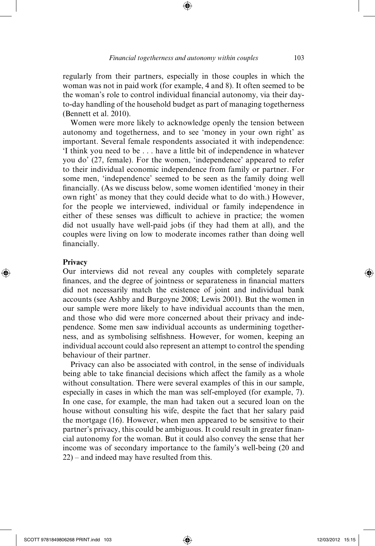regularly from their partners, especially in those couples in which the woman was not in paid work (for example, 4 and 8). It often seemed to be the woman's role to control individual financial autonomy, via their dayto- day handling of the household budget as part of managing togetherness (Bennett et al. 2010).

Women were more likely to acknowledge openly the tension between autonomy and togetherness, and to see 'money in your own right' as important. Several female respondents associated it with independence: 'I think you need to be . . . have a little bit of independence in whatever you do' (27, female). For the women, 'independence' appeared to refer to their individual economic independence from family or partner. For some men, 'independence' seemed to be seen as the family doing well financially. (As we discuss below, some women identified 'money in their own right' as money that they could decide what to do with.) However, for the people we interviewed, individual or family independence in either of these senses was difficult to achieve in practice; the women did not usually have well- paid jobs (if they had them at all), and the couples were living on low to moderate incomes rather than doing well financially.

#### **Privacy**

⊕

Our interviews did not reveal any couples with completely separate finances, and the degree of jointness or separateness in financial matters did not necessarily match the existence of joint and individual bank accounts (see Ashby and Burgoyne 2008; Lewis 2001). But the women in our sample were more likely to have individual accounts than the men, and those who did were more concerned about their privacy and independence. Some men saw individual accounts as undermining togetherness, and as symbolising selfishness. However, for women, keeping an individual account could also represent an attempt to control the spending behaviour of their partner.

Privacy can also be associated with control, in the sense of individuals being able to take financial decisions which affect the family as a whole without consultation. There were several examples of this in our sample, especially in cases in which the man was self-employed (for example, 7). In one case, for example, the man had taken out a secured loan on the house without consulting his wife, despite the fact that her salary paid the mortgage (16). However, when men appeared to be sensitive to their partner's privacy, this could be ambiguous. It could result in greater financial autonomy for the woman. But it could also convey the sense that her income was of secondary importance to the family's well- being (20 and 22) – and indeed may have resulted from this.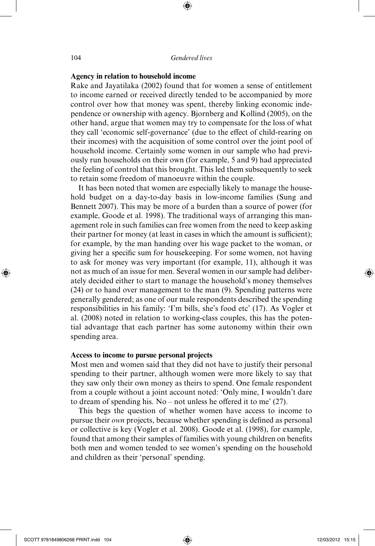⊕

#### **Agency in relation to household income**

Rake and Jayatilaka (2002) found that for women a sense of entitlement to income earned or received directly tended to be accompanied by more control over how that money was spent, thereby linking economic independence or ownership with agency. Bjornberg and Kollind (2005), on the other hand, argue that women may try to compensate for the loss of what they call 'economic self-governance' (due to the effect of child-rearing on their incomes) with the acquisition of some control over the joint pool of household income. Certainly some women in our sample who had previously run households on their own (for example, 5 and 9) had appreciated the feeling of control that this brought. This led them subsequently to seek to retain some freedom of manoeuvre within the couple.

It has been noted that women are especially likely to manage the household budget on a day-to-day basis in low-income families (Sung and Bennett 2007). This may be more of a burden than a source of power (for example, Goode et al. 1998). The traditional ways of arranging this management role in such families can free women from the need to keep asking their partner for money (at least in cases in which the amount is sufficient); for example, by the man handing over his wage packet to the woman, or giving her a specific sum for housekeeping. For some women, not having to ask for money was very important (for example, 11), although it was not as much of an issue for men. Several women in our sample had deliberately decided either to start to manage the household's money themselves (24) or to hand over management to the man (9). Spending patterns were generally gendered; as one of our male respondents described the spending responsibilities in his family: 'I'm bills, she's food etc' (17). As Vogler et al. (2008) noted in relation to working- class couples, this has the potential advantage that each partner has some autonomy within their own spending area.

#### **Access to income to pursue personal projects**

Most men and women said that they did not have to justify their personal spending to their partner, although women were more likely to say that they saw only their own money as theirs to spend. One female respondent from a couple without a joint account noted: 'Only mine, I wouldn't dare to dream of spending his. No – not unless he offered it to me'  $(27)$ .

This begs the question of whether women have access to income to pursue their *own* projects, because whether spending is defined as personal or collective is key (Vogler et al. 2008). Goode et al. (1998), for example, found that among their samples of families with young children on benefits both men and women tended to see women's spending on the household and children as their 'personal' spending.

⊕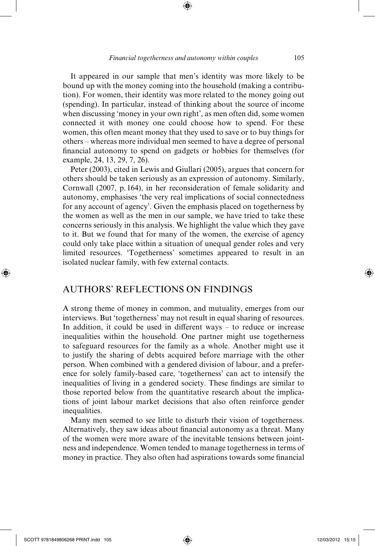It appeared in our sample that men's identity was more likely to be bound up with the money coming into the household (making a contribution). For women, their identity was more related to the money going out (spending). In particular, instead of thinking about the source of income when discussing 'money in your own right', as men often did, some women connected it with money one could choose how to spend. For these women, this often meant money that they used to save or to buy things for others – whereas more individual men seemed to have a degree of personal financial autonomy to spend on gadgets or hobbies for themselves (for example, 24, 13, 29, 7, 26).

Peter (2003), cited in Lewis and Giullari (2005), argues that concern for others should be taken seriously as an expression of autonomy. Similarly, Cornwall (2007, p. 164), in her reconsideration of female solidarity and autonomy, emphasises 'the very real implications of social connectedness for any account of agency'. Given the emphasis placed on togetherness by the women as well as the men in our sample, we have tried to take these concerns seriously in this analysis. We highlight the value which they gave to it. But we found that for many of the women, the exercise of agency could only take place within a situation of unequal gender roles and very limited resources. 'Togetherness' sometimes appeared to result in an isolated nuclear family, with few external contacts.

#### AUTHORS' REFLECTIONS ON FINDINGS

A strong theme of money in common, and mutuality, emerges from our interviews. But 'togetherness' may not result in equal sharing of resources. In addition, it could be used in different ways  $-$  to reduce or increase inequalities within the household. One partner might use togetherness to safeguard resources for the family as a whole. Another might use it to justify the sharing of debts acquired before marriage with the other person. When combined with a gendered division of labour, and a preference for solely family-based care, 'togetherness' can act to intensify the inequalities of living in a gendered society. These findings are similar to those reported below from the quantitative research about the implications of joint labour market decisions that also often reinforce gender inequalities.

Many men seemed to see little to disturb their vision of togetherness. Alternatively, they saw ideas about financial autonomy as a threat. Many of the women were more aware of the inevitable tensions between jointness and independence. Women tended to manage togetherness in terms of money in practice. They also often had aspirations towards some financial

⊕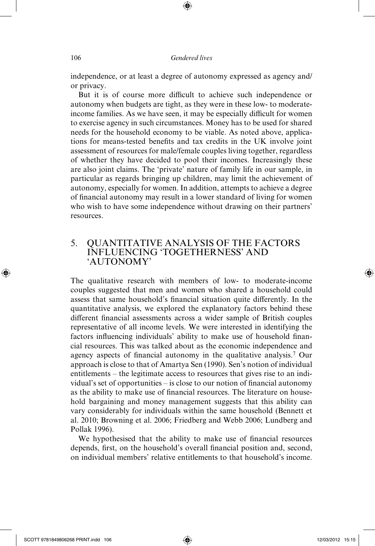⊕

independence, or at least a degree of autonomy expressed as agency and/ or privacy.

But it is of course more difficult to achieve such independence or autonomy when budgets are tight, as they were in these low- to moderateincome families. As we have seen, it may be especially difficult for women to exercise agency in such circumstances. Money has to be used for shared needs for the household economy to be viable. As noted above, applications for means-tested benefits and tax credits in the UK involve joint assessment of resources for male/female couples living together, regardless of whether they have decided to pool their incomes. Increasingly these are also joint claims. The 'private' nature of family life in our sample, in particular as regards bringing up children, may limit the achievement of autonomy, especially for women. In addition, attempts to achieve a degree of financial autonomy may result in a lower standard of living for women who wish to have some independence without drawing on their partners' resources.

#### 5. QUANTITATIVE ANALYSIS OF THE FACTORS INFLUENCING 'TOGETHERNESS' AND 'AUTONOMY'

The qualitative research with members of low- to moderate-income couples suggested that men and women who shared a household could assess that same household's financial situation quite differently. In the quantitative analysis, we explored the explanatory factors behind these different financial assessments across a wider sample of British couples representative of all income levels. We were interested in identifying the factors influencing individuals' ability to make use of household financial resources. This was talked about as the economic independence and agency aspects of financial autonomy in the qualitative analysis.<sup>7</sup> Our approach is close to that of Amartya Sen (1990). Sen's notion of individual entitlements – the legitimate access to resources that gives rise to an individual's set of opportunities  $-$  is close to our notion of financial autonomy as the ability to make use of financial resources. The literature on household bargaining and money management suggests that this ability can vary considerably for individuals within the same household (Bennett et al. 2010; Browning et al. 2006; Friedberg and Webb 2006; Lundberg and Pollak 1996).

We hypothesised that the ability to make use of financial resources depends, first, on the household's overall financial position and, second, on individual members' relative entitlements to that household's income.

⊕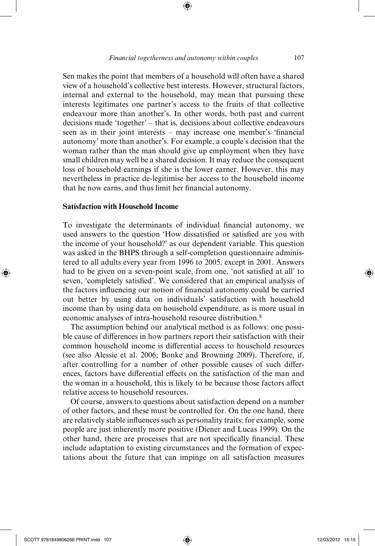Sen makes the point that members of a household will often have a shared view of a household's collective best interests. However, structural factors, internal and external to the household, may mean that pursuing these interests legitimates one partner's access to the fruits of that collective endeavour more than another's. In other words, both past and current decisions made 'together' – that is, decisions about collective endeavours seen as in their joint interests – may increase one member's 'financial autonomy' more than another's. For example, a couple's decision that the woman rather than the man should give up employment when they have small children may well be a shared decision. It may reduce the consequent loss of household earnings if she is the lower earner. However, this may nevertheless in practice de- legitimise her access to the household income that he now earns, and thus limit her financial autonomy.

#### **Satisfaction with Household Income**

To investigate the determinants of individual financial autonomy, we used answers to the question 'How dissatisfied or satisfied are you with the income of your household?' as our dependent variable. This question was asked in the BHPS through a self-completion questionnaire administered to all adults every year from 1996 to 2005, except in 2001. Answers had to be given on a seven-point scale, from one, 'not satisfied at all' to seven, 'completely satisfied'. We considered that an empirical analysis of the factors influencing our notion of financial autonomy could be carried out better by using data on individuals' satisfaction with household income than by using data on household expenditure, as is more usual in economic analyses of intra-household resource distribution.<sup>8</sup>

The assumption behind our analytical method is as follows: one possible cause of differences in how partners report their satisfaction with their common household income is differential access to household resources (see also Alessie et al. 2006; Bonke and Browning 2009). Therefore, if, after controlling for a number of other possible causes of such differences, factors have differential effects on the satisfaction of the man and the woman in a household, this is likely to be because those factors affect relative access to household resources.

Of course, answers to questions about satisfaction depend on a number of other factors, and these must be controlled for. On the one hand, there are relatively stable influences such as personality traits: for example, some people are just inherently more positive (Diener and Lucas 1999). On the other hand, there are processes that are not specifically financial. These include adaptation to existing circumstances and the formation of expectations about the future that can impinge on all satisfaction measures

⊕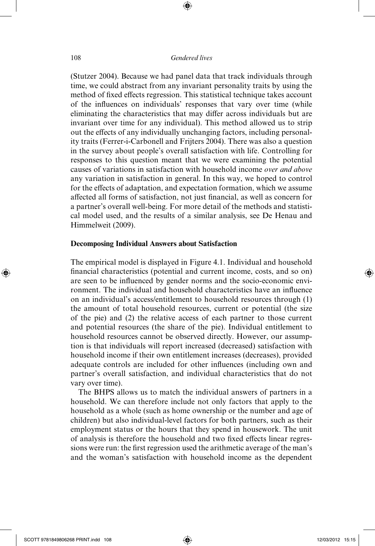⊕

(Stutzer 2004). Because we had panel data that track individuals through time, we could abstract from any invariant personality traits by using the method of fixed effects regression. This statistical technique takes account of the influences on individuals' responses that vary over time (while eliminating the characteristics that may differ across individuals but are invariant over time for any individual). This method allowed us to strip out the effects of any individually unchanging factors, including personality traits (Ferrer-i-Carbonell and Frijters 2004). There was also a question in the survey about people's overall satisfaction with life. Controlling for responses to this question meant that we were examining the potential causes of variations in satisfaction with household income *over and above* any variation in satisfaction in general. In this way, we hoped to control for the effects of adaptation, and expectation formation, which we assume affected all forms of satisfaction, not just financial, as well as concern for a partner's overall well- being. For more detail of the methods and statistical model used, and the results of a similar analysis, see De Henau and Himmelweit (2009).

#### **Decomposing Individual Answers about Satisfaction**

The empirical model is displayed in Figure 4.1. Individual and household financial characteristics (potential and current income, costs, and so on) are seen to be influenced by gender norms and the socio-economic environment. The individual and household characteristics have an influence on an individual's access/entitlement to household resources through (1) the amount of total household resources, current or potential (the size of the pie) and (2) the relative access of each partner to those current and potential resources (the share of the pie). Individual entitlement to household resources cannot be observed directly. However, our assumption is that individuals will report increased (decreased) satisfaction with household income if their own entitlement increases (decreases), provided adequate controls are included for other influences (including own and partner's overall satisfaction, and individual characteristics that do not vary over time).

The BHPS allows us to match the individual answers of partners in a household. We can therefore include not only factors that apply to the household as a whole (such as home ownership or the number and age of children) but also individual- level factors for both partners, such as their employment status or the hours that they spend in housework. The unit of analysis is therefore the household and two fixed effects linear regressions were run: the first regression used the arithmetic average of the man's and the woman's satisfaction with household income as the dependent

⊕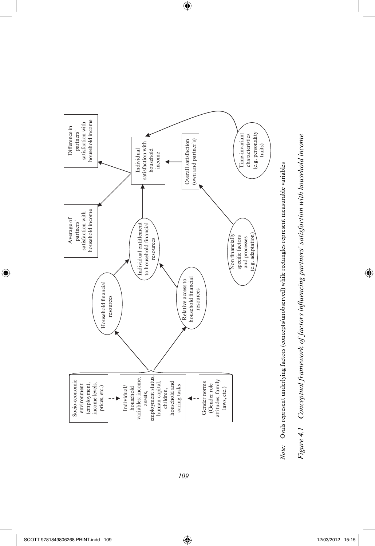

 $\bigoplus$ 

Figure 4.1 Conceptual framework of factors influencing partners' satisfaction with household income *Figure 4.1 Conceptual framework of factors infl uencing partners' satisfaction with household income*

109

 $\bigoplus$ 

SCOTT 9781849806268 PRINT.indd 109

 $\bigoplus$ 

 $\bigoplus$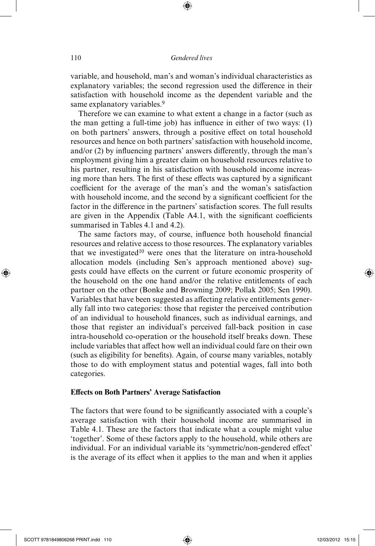variable, and household, man's and woman's individual characteristics as explanatory variables; the second regression used the difference in their satisfaction with household income as the dependent variable and the same explanatory variables.<sup>9</sup>

Therefore we can examine to what extent a change in a factor (such as the man getting a full-time job) has influence in either of two ways:  $(1)$ on both partners' answers, through a positive effect on total household resources and hence on both partners' satisfaction with household income, and/or  $(2)$  by influencing partners' answers differently, through the man's employment giving him a greater claim on household resources relative to his partner, resulting in his satisfaction with household income increasing more than hers. The first of these effects was captured by a significant coefficient for the average of the man's and the woman's satisfaction with household income, and the second by a significant coefficient for the factor in the difference in the partners' satisfaction scores. The full results are given in the Appendix (Table A4.1, with the significant coefficients summarised in Tables 4.1 and 4.2).

The same factors may, of course, influence both household financial resources and relative access to those resources. The explanatory variables that we investigated<sup>10</sup> were ones that the literature on intra-household allocation models (including Sen's approach mentioned above) suggests could have effects on the current or future economic prosperity of the household on the one hand and/or the relative entitlements of each partner on the other (Bonke and Browning 2009; Pollak 2005; Sen 1990). Variables that have been suggested as affecting relative entitlements generally fall into two categories: those that register the perceived contribution of an individual to household finances, such as individual earnings, and those that register an individual's perceived fall-back position in case intra- household co- operation or the household itself breaks down. These include variables that affect how well an individual could fare on their own (such as eligibility for benefits). Again, of course many variables, notably those to do with employment status and potential wages, fall into both categories.

#### **Effects on Both Partners' Average Satisfaction**

The factors that were found to be significantly associated with a couple's average satisfaction with their household income are summarised in Table 4.1. These are the factors that indicate what a couple might value 'together'. Some of these factors apply to the household, while others are individual. For an individual variable its 'symmetric/non-gendered effect' is the average of its effect when it applies to the man and when it applies

⊕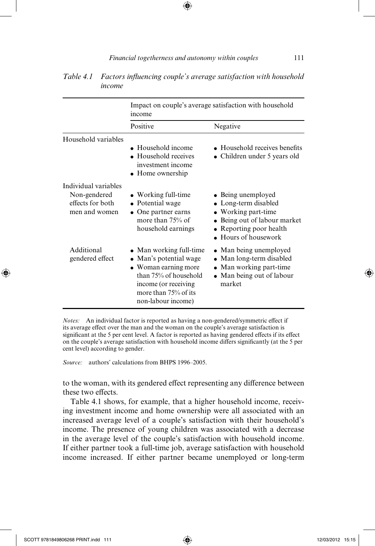|                                                                           | Impact on couple's average satisfaction with household<br>income                                                                                                           |                                                                                                                                                              |  |
|---------------------------------------------------------------------------|----------------------------------------------------------------------------------------------------------------------------------------------------------------------------|--------------------------------------------------------------------------------------------------------------------------------------------------------------|--|
|                                                                           | Positive                                                                                                                                                                   | Negative                                                                                                                                                     |  |
| Household variables                                                       | $\bullet$ Household income<br>• Household receives<br>investment income<br>• Home ownership                                                                                | • Household receives benefits<br>• Children under 5 years old                                                                                                |  |
| Individual variables<br>Non-gendered<br>effects for both<br>men and women | • Working full-time<br>• Potential wage<br>• One partner earns<br>more than 75% of<br>household earnings                                                                   | • Being unemployed<br>• Long-term disabled<br>• Working part-time<br>• Being out of labour market<br>• Reporting poor health<br>$\bullet$ Hours of housework |  |
| Additional<br>gendered effect                                             | • Man working full-time<br>• Man's potential wage<br>• Woman earning more<br>than 75% of household<br>income (or receiving<br>more than $75%$ of its<br>non-labour income) | • Man being unemployed<br>• Man long-term disabled<br>• Man working part-time<br>• Man being out of labour<br>market                                         |  |

#### *Table 4.1 Factors influencing couple's average satisfaction with household income*

*Notes:* An individual factor is reported as having a non-gendered/symmetric effect if its average effect over the man and the woman on the couple's average satisfaction is significant at the 5 per cent level. A factor is reported as having gendered effects if its effect on the couple's average satisfaction with household income differs significantly (at the 5 per cent level) according to gender.

*Source:* authors' calculations from BHPS 1996–2005.

to the woman, with its gendered effect representing any difference between these two effects.

Table 4.1 shows, for example, that a higher household income, receiving investment income and home ownership were all associated with an increased average level of a couple's satisfaction with their household's income. The presence of young children was associated with a decrease in the average level of the couple's satisfaction with household income. If either partner took a full-time job, average satisfaction with household income increased. If either partner became unemployed or long-term

⊕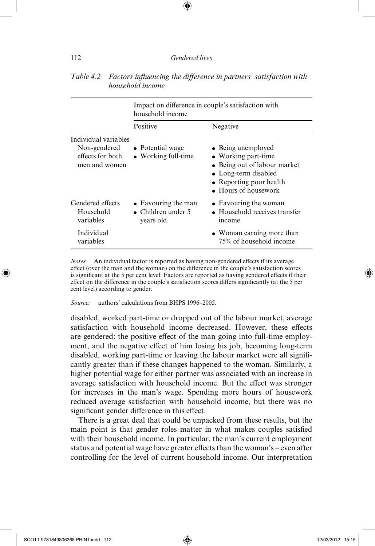⊕

|                                                                           | Impact on difference in couple's satisfaction with<br>household income |                                                                                                                                                              |  |
|---------------------------------------------------------------------------|------------------------------------------------------------------------|--------------------------------------------------------------------------------------------------------------------------------------------------------------|--|
|                                                                           | Positive                                                               | Negative                                                                                                                                                     |  |
| Individual variables<br>Non-gendered<br>effects for both<br>men and women | $\bullet$ Potential wage<br>$\bullet$ Working full-time                | • Being unemployed<br>• Working part-time<br>• Being out of labour market<br>• Long-term disabled<br>• Reporting poor health<br>$\bullet$ Hours of housework |  |
| Gendered effects<br>Household<br>variables                                | $\bullet$ Favouring the man<br>• Children under 5<br>years old         | • Favouring the woman<br>$\bullet$ Household receives transfer<br>income                                                                                     |  |
| Individual<br>variables                                                   |                                                                        | • Woman earning more than<br>75% of household income                                                                                                         |  |

#### *Table 4.2 Factors influencing the difference in partners' satisfaction with household income*

*Notes:* An individual factor is reported as having non-gendered effects if its average effect (over the man and the woman) on the difference in the couple's satisfaction scores is significant at the 5 per cent level. Factors are reported as having gendered effects if their effect on the difference in the couple's satisfaction scores differs significantly (at the 5 per cent level) according to gender.

*Source:* authors' calculations from BHPS 1996–2005.

disabled, worked part-time or dropped out of the labour market, average satisfaction with household income decreased. However, these effects are gendered: the positive effect of the man going into full-time employment, and the negative effect of him losing his job, becoming long-term disabled, working part-time or leaving the labour market were all significantly greater than if these changes happened to the woman. Similarly, a higher potential wage for either partner was associated with an increase in average satisfaction with household income. But the effect was stronger for increases in the man's wage. Spending more hours of housework reduced average satisfaction with household income, but there was no significant gender difference in this effect.

There is a great deal that could be unpacked from these results, but the main point is that gender roles matter in what makes couples satisfied with their household income. In particular, the man's current employment status and potential wage have greater effects than the woman's – even after controlling for the level of current household income. Our interpretation

◈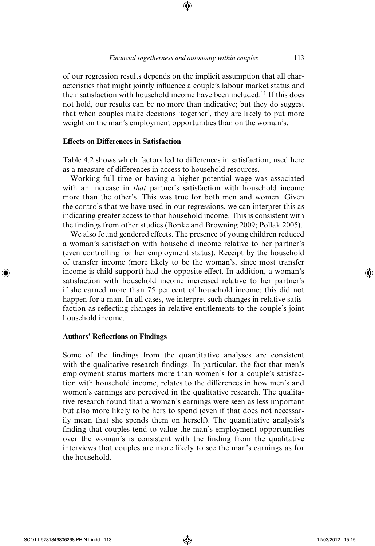of our regression results depends on the implicit assumption that all characteristics that might jointly influence a couple's labour market status and their satisfaction with household income have been included.11 If this does not hold, our results can be no more than indicative; but they do suggest that when couples make decisions 'together', they are likely to put more weight on the man's employment opportunities than on the woman's.

#### **Effects on Differences in Satisfaction**

Table 4.2 shows which factors led to differences in satisfaction, used here as a measure of differences in access to household resources.

Working full time or having a higher potential wage was associated with an increase in *that* partner's satisfaction with household income more than the other's. This was true for both men and women. Given the controls that we have used in our regressions, we can interpret this as indicating greater access to that household income. This is consistent with the findings from other studies (Bonke and Browning 2009; Pollak 2005).

We also found gendered effects. The presence of young children reduced a woman's satisfaction with household income relative to her partner's (even controlling for her employment status). Receipt by the household of transfer income (more likely to be the woman's, since most transfer income is child support) had the opposite effect. In addition, a woman's satisfaction with household income increased relative to her partner's if she earned more than 75 per cent of household income; this did not happen for a man. In all cases, we interpret such changes in relative satisfaction as reflecting changes in relative entitlements to the couple's joint household income.

#### **Authors' Reflections on Findings**

Some of the findings from the quantitative analyses are consistent with the qualitative research findings. In particular, the fact that men's employment status matters more than women's for a couple's satisfaction with household income, relates to the differences in how men's and women's earnings are perceived in the qualitative research. The qualitative research found that a woman's earnings were seen as less important but also more likely to be hers to spend (even if that does not necessarily mean that she spends them on herself). The quantitative analysis's finding that couples tend to value the man's employment opportunities over the woman's is consistent with the finding from the qualitative interviews that couples are more likely to see the man's earnings as for the household.

⊕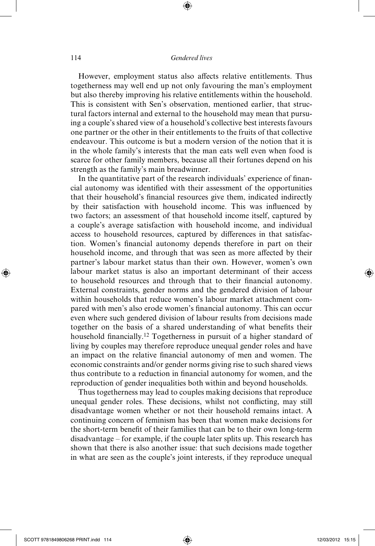⊕

However, employment status also affects relative entitlements. Thus togetherness may well end up not only favouring the man's employment but also thereby improving his relative entitlements within the household. This is consistent with Sen's observation, mentioned earlier, that structural factors internal and external to the household may mean that pursuing a couple's shared view of a household's collective best interests favours one partner or the other in their entitlements to the fruits of that collective endeavour. This outcome is but a modern version of the notion that it is in the whole family's interests that the man eats well even when food is scarce for other family members, because all their fortunes depend on his strength as the family's main breadwinner.

In the quantitative part of the research individuals' experience of financial autonomy was identified with their assessment of the opportunities that their household's financial resources give them, indicated indirectly by their satisfaction with household income. This was influenced by two factors; an assessment of that household income itself, captured by a couple's average satisfaction with household income, and individual access to household resources, captured by differences in that satisfaction. Women's financial autonomy depends therefore in part on their household income, and through that was seen as more affected by their partner's labour market status than their own. However, women's own labour market status is also an important determinant of their access to household resources and through that to their financial autonomy. External constraints, gender norms and the gendered division of labour within households that reduce women's labour market attachment compared with men's also erode women's financial autonomy. This can occur even where such gendered division of labour results from decisions made together on the basis of a shared understanding of what benefits their household financially.<sup>12</sup> Togetherness in pursuit of a higher standard of living by couples may therefore reproduce unequal gender roles and have an impact on the relative financial autonomy of men and women. The economic constraints and/or gender norms giving rise to such shared views thus contribute to a reduction in financial autonomy for women, and the reproduction of gender inequalities both within and beyond households.

Thus togetherness may lead to couples making decisions that reproduce unequal gender roles. These decisions, whilst not conflicting, may still disadvantage women whether or not their household remains intact. A continuing concern of feminism has been that women make decisions for the short-term benefit of their families that can be to their own long-term disadvantage – for example, if the couple later splits up. This research has shown that there is also another issue: that such decisions made together in what are seen as the couple's joint interests, if they reproduce unequal

⊕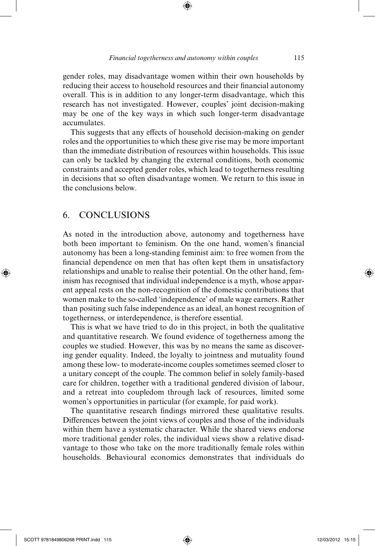gender roles, may disadvantage women within their own households by reducing their access to household resources and their financial autonomy overall. This is in addition to any longer- term disadvantage, which this research has not investigated. However, couples' joint decision-making may be one of the key ways in which such longer-term disadvantage accumulates.

This suggests that any effects of household decision-making on gender roles and the opportunities to which these give rise may be more important than the immediate distribution of resources within households. This issue can only be tackled by changing the external conditions, both economic constraints and accepted gender roles, which lead to togetherness resulting in decisions that so often disadvantage women. We return to this issue in the conclusions below.

#### 6. CONCLUSIONS

⊕

As noted in the introduction above, autonomy and togetherness have both been important to feminism. On the one hand, women's financial autonomy has been a long- standing feminist aim: to free women from the financial dependence on men that has often kept them in unsatisfactory relationships and unable to realise their potential. On the other hand, feminism has recognised that individual independence is a myth, whose apparent appeal rests on the non- recognition of the domestic contributions that women make to the so-called 'independence' of male wage earners. Rather than positing such false independence as an ideal, an honest recognition of togetherness, or interdependence, is therefore essential.

This is what we have tried to do in this project, in both the qualitative and quantitative research. We found evidence of togetherness among the couples we studied. However, this was by no means the same as discovering gender equality. Indeed, the loyalty to jointness and mutuality found among these low- to moderate- income couples sometimes seemed closer to a unitary concept of the couple. The common belief in solely family- based care for children, together with a traditional gendered division of labour, and a retreat into coupledom through lack of resources, limited some women's opportunities in particular (for example, for paid work).

The quantitative research findings mirrored these qualitative results. Differences between the joint views of couples and those of the individuals within them have a systematic character. While the shared views endorse more traditional gender roles, the individual views show a relative disadvantage to those who take on the more traditionally female roles within households. Behavioural economics demonstrates that individuals do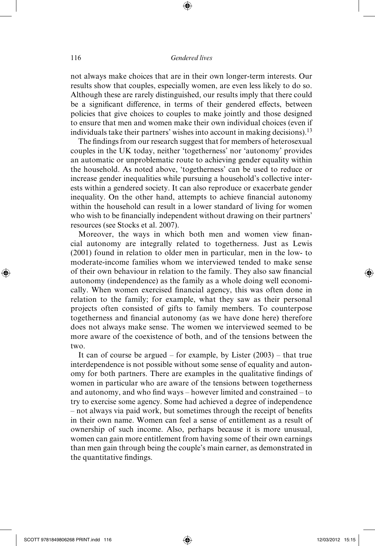⊕

not always make choices that are in their own longer- term interests. Our results show that couples, especially women, are even less likely to do so. Although these are rarely distinguished, our results imply that there could be a significant difference, in terms of their gendered effects, between policies that give choices to couples to make jointly and those designed to ensure that men and women make their own individual choices (even if individuals take their partners' wishes into account in making decisions).13

The findings from our research suggest that for members of heterosexual couples in the UK today, neither 'togetherness' nor 'autonomy' provides an automatic or unproblematic route to achieving gender equality within the household. As noted above, 'togetherness' can be used to reduce or increase gender inequalities while pursuing a household's collective interests within a gendered society. It can also reproduce or exacerbate gender inequality. On the other hand, attempts to achieve financial autonomy within the household can result in a lower standard of living for women who wish to be financially independent without drawing on their partners' resources (see Stocks et al. 2007).

Moreover, the ways in which both men and women view financial autonomy are integrally related to togetherness. Just as Lewis (2001) found in relation to older men in particular, men in the low- to moderate-income families whom we interviewed tended to make sense of their own behaviour in relation to the family. They also saw financial autonomy (independence) as the family as a whole doing well economically. When women exercised financial agency, this was often done in relation to the family; for example, what they saw as their personal projects often consisted of gifts to family members. To counterpose togetherness and financial autonomy (as we have done here) therefore does not always make sense. The women we interviewed seemed to be more aware of the coexistence of both, and of the tensions between the two.

It can of course be argued – for example, by Lister  $(2003)$  – that true interdependence is not possible without some sense of equality and autonomy for both partners. There are examples in the qualitative findings of women in particular who are aware of the tensions between togetherness and autonomy, and who find ways – however limited and constrained – to try to exercise some agency. Some had achieved a degree of independence  $-$  not always via paid work, but sometimes through the receipt of benefits in their own name. Women can feel a sense of entitlement as a result of ownership of such income. Also, perhaps because it is more unusual, women can gain more entitlement from having some of their own earnings than men gain through being the couple's main earner, as demonstrated in the quantitative findings.

⊕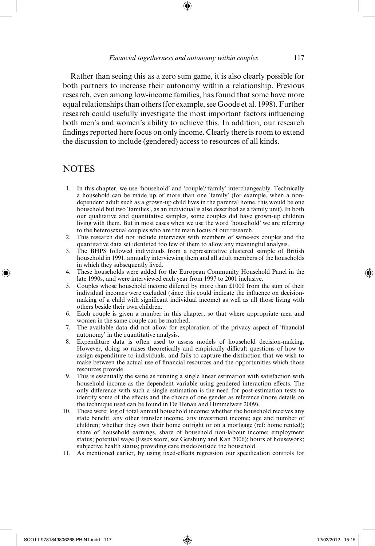Rather than seeing this as a zero sum game, it is also clearly possible for both partners to increase their autonomy within a relationship. Previous research, even among low-income families, has found that some have more equal relationships than others (for example, see Goode et al. 1998). Further research could usefully investigate the most important factors influencing both men's and women's ability to achieve this. In addition, our research findings reported here focus on only income. Clearly there is room to extend the discussion to include (gendered) access to resources of all kinds.

#### **NOTES**

⊕

- 1. In this chapter, we use 'household' and 'couple'/'family' interchangeably. Technically a household can be made up of more than one 'family' (for example, when a nondependent adult such as a grown- up child lives in the parental home, this would be one household but two 'families', as an individual is also described as a family unit). In both our qualitative and quantitative samples, some couples did have grown- up children living with them. But in most cases when we use the word 'household' we are referring to the heterosexual couples who are the main focus of our research.
- 2. This research did not include interviews with members of same- sex couples and the quantitative data set identified too few of them to allow any meaningful analysis.
- 3. The BHPS followed individuals from a representative clustered sample of British household in 1991, annually interviewing them and all adult members of the households in which they subsequently lived.
- 4. These households were added for the European Community Household Panel in the late 1990s, and were interviewed each year from 1997 to 2001 inclusive.
- 5. Couples whose household income differed by more than  $£1000$  from the sum of their individual incomes were excluded (since this could indicate the influence on decisionmaking of a child with significant individual income) as well as all those living with others beside their own children.
- 6. Each couple is given a number in this chapter, so that where appropriate men and women in the same couple can be matched.
- 7. The available data did not allow for exploration of the privacy aspect of 'financial autonomy' in the quantitative analysis.
- 8. Expenditure data is often used to assess models of household decision-making. However, doing so raises theoretically and empirically difficult questions of how to assign expenditure to individuals, and fails to capture the distinction that we wish to make between the actual use of financial resources and the opportunities which those resources provide.
- 9. This is essentially the same as running a single linear estimation with satisfaction with household income as the dependent variable using gendered interaction effects. The only difference with such a single estimation is the need for post-estimation tests to identify some of the effects and the choice of one gender as reference (more details on the technique used can be found in De Henau and Himmelweit 2009).
- 10. These were: log of total annual household income; whether the household receives any state benefit, any other transfer income, any investment income; age and number of children; whether they own their home outright or on a mortgage (ref: home rented); share of household earnings, share of household non-labour income; employment status; potential wage (Essex score, see Gershuny and Kan 2006); hours of housework; subjective health status; providing care inside/outside the household.
- 11. As mentioned earlier, by using fixed-effects regression our specification controls for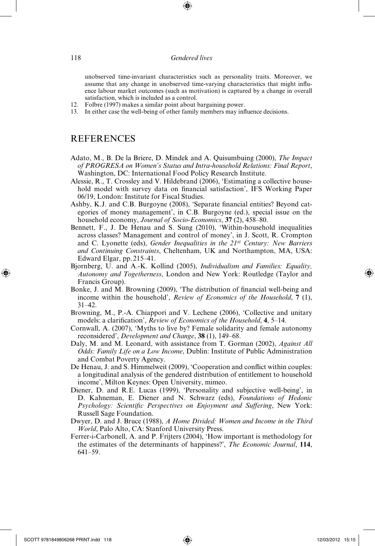unobserved time-invariant characteristics such as personality traits. Moreover, we assume that any change in unobserved time-varying characteristics that might influence labour market outcomes (such as motivation) is captured by a change in overall satisfaction, which is included as a control.

- 12. Folbre (1997) makes a similar point about bargaining power.
- 13. In either case the well-being of other family members may influence decisions.

#### **REFERENCES**

- Adato, M., B. De la Briere, D. Mindek and A. Quisumbuing (2000), *The Impact of PROGRESA on Women's Status and Intra- household Relations: Final Report*, Washington, DC: International Food Policy Research Institute.
- Alessie, R., T. Crossley and V. Hildebrand (2006), 'Estimating a collective household model with survey data on financial satisfaction', IFS Working Paper 06/19, London: Institute for Fiscal Studies.
- Ashby, K.J. and C.B. Burgoyne (2008), 'Separate financial entities? Beyond categories of money management', in C.B. Burgoyne (ed.), special issue on the household economy, *Journal of Socio- Economics*, **37** (2), 458–80.
- Bennett, F., J. De Henau and S. Sung (2010), 'Within-household inequalities across classes? Management and control of money', in J. Scott, R. Crompton and C. Lyonette (eds), *Gender Inequalities in the 21st Century: New Barriers and Continuing Constraints*, Cheltenham, UK and Northampton, MA, USA: Edward Elgar, pp. 215–41.
- Bjornberg, U. and A.-K. Kollind (2005), *Individualism and Families: Equality*, *Autonomy and Togetherness*, London and New York: Routledge (Taylor and Francis Group).
- Bonke, J. and M. Browning (2009), 'The distribution of financial well-being and income within the household', *Review of Economics of the Household*, **7** (1), 31–42.
- Browning, M., P.-A. Chiappori and V. Lechene (2006), 'Collective and unitary models: a clarification', *Review of Economics of the Household*, **4**, 5–14.
- Cornwall, A. (2007), 'Myths to live by? Female solidarity and female autonomy reconsidered', *Development and Change*, **38** (1), 149–68.
- Daly, M. and M. Leonard, with assistance from T. Gorman (2002), *Against All Odds: Family Life on a Low Income*, Dublin: Institute of Public Administration and Combat Poverty Agency.
- De Henau, J. and S. Himmelweit (2009), 'Cooperation and conflict within couples: a longitudinal analysis of the gendered distribution of entitlement to household income', Milton Keynes: Open University, mimeo.
- Diener, D. and R.E. Lucas (1999), 'Personality and subjective well-being', in D. Kahneman, E. Diener and N. Schwarz (eds), *Foundations of Hedonic Psychology: Scientific Perspectives on Enjoyment and Suffering*, New York: Russell Sage Foundation.
- Dwyer, D. and J. Bruce (1988), *A Home Divided: Women and Income in the Third World*, Palo Alto, CA: Stanford University Press.
- Ferrer-i-Carbonell, A. and P. Frijters (2004), 'How important is methodology for the estimates of the determinants of happiness?', *The Economic Journal*, **114**, 641–59.

⊕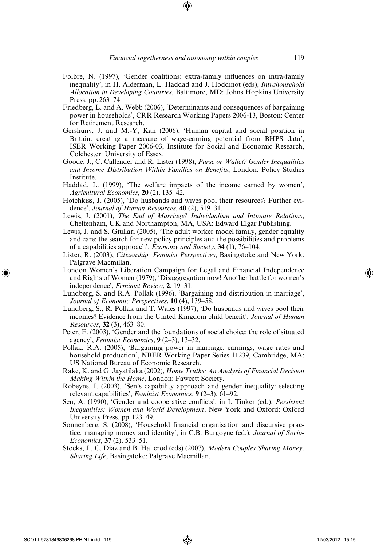- Folbre, N. (1997), 'Gender coalitions: extra-family influences on intra-family inequality', in H. Alderman, L. Haddad and J. Hoddinot (eds), *Intrahousehold Allocation in Developing Countries*, Baltimore, MD: Johns Hopkins University Press, pp. 263–74.
- Friedberg, L. and A. Webb (2006), 'Determinants and consequences of bargaining power in households', CRR Research Working Papers 2006-13, Boston: Center for Retirement Research.
- Gershuny, J. and M,-Y, Kan (2006), 'Human capital and social position in Britain: creating a measure of wage-earning potential from BHPS data', ISER Working Paper 2006-03, Institute for Social and Economic Research, Colchester: University of Essex.
- Goode, J., C. Callender and R. Lister (1998), *Purse or Wallet? Gender Inequalities and Income Distribution Within Families on Benefi ts*, London: Policy Studies Institute.
- Haddad, L. (1999), 'The welfare impacts of the income earned by women', *Agricultural Economics*, **20** (2), 135–42.
- Hotchkiss, J. (2005), 'Do husbands and wives pool their resources? Further evidence', *Journal of Human Resources*, **40** (2), 519–31.
- Lewis, J. (2001), *The End of Marriage? Individualism and Intimate Relations*, Cheltenham, UK and Northampton, MA, USA: Edward Elgar Publishing.
- Lewis, J. and S. Giullari (2005), 'The adult worker model family, gender equality and care: the search for new policy principles and the possibilities and problems of a capabilities approach', *Economy and Society*, **34** (1), 76–104.
- Lister, R. (2003), *Citizenship: Feminist Perspectives*, Basingstoke and New York: Palgrave Macmillan.
- London Women's Liberation Campaign for Legal and Financial Independence and Rights of Women (1979), 'Disaggregation now! Another battle for women's independence', *Feminist Review*, **2**, 19–31.
- Lundberg, S. and R.A. Pollak (1996), 'Bargaining and distribution in marriage', *Journal of Economic Perspectives*, **10** (4), 139–58.
- Lundberg, S., R. Pollak and T. Wales (1997), 'Do husbands and wives pool their incomes? Evidence from the United Kingdom child benefit', *Journal of Human Resources*, **32** (3), 463–80.
- Peter, F. (2003), 'Gender and the foundations of social choice: the role of situated agency', *Feminist Economics*, **9** (2–3), 13–32.
- Pollak, R.A. (2005), 'Bargaining power in marriage: earnings, wage rates and household production', NBER Working Paper Series 11239, Cambridge, MA: US National Bureau of Economic Research.
- Rake, K. and G. Jayatilaka (2002), *Home Truths: An Analysis of Financial Decision Making Within the Home*, London: Fawcett Society.
- Robeyns, I. (2003), 'Sen's capability approach and gender inequality: selecting relevant capabilities', *Feminist Economics*, **9** (2–3), 61–92.
- Sen, A. (1990), 'Gender and cooperative conflicts', in I. Tinker (ed.), *Persistent Inequalities: Women and World Development*, New York and Oxford: Oxford University Press, pp. 123–49.
- Sonnenberg, S. (2008), 'Household financial organisation and discursive practice: managing money and identity', in C.B. Burgoyne (ed.), *Journal of Socio-Economics*, **37** (2), 533–51.
- Stocks, J., C. Diaz and B. Hallerod (eds) (2007), *Modern Couples Sharing Money, Sharing Life*, Basingstoke: Palgrave Macmillan.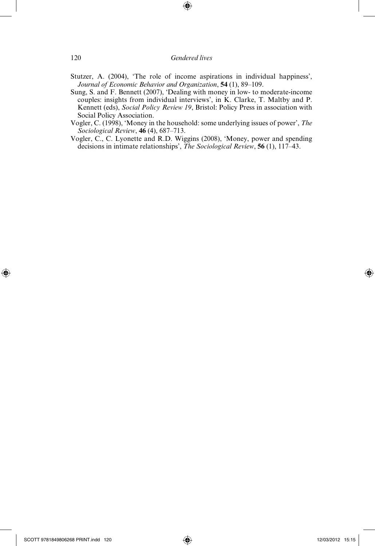$\bigoplus$ 

- Stutzer, A. (2004), 'The role of income aspirations in individual happiness', *Journal of Economic Behavior and Organization*, **54** (1), 89–109.
- Sung, S. and F. Bennett (2007), 'Dealing with money in low- to moderate- income couples: insights from individual interviews', in K. Clarke, T. Maltby and P. Kennett (eds), *Social Policy Review 19*, Bristol: Policy Press in association with Social Policy Association.
- Vogler, C. (1998), 'Money in the household: some underlying issues of power', *The Sociological Review*, **46** (4), 687–713.
- Vogler, C., C. Lyonette and R.D. Wiggins (2008), 'Money, power and spending decisions in intimate relationships', *The Sociological Review*, **56** (1), 117–43.

⊕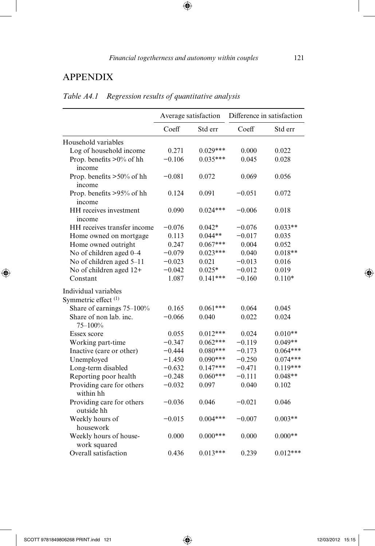$\bigoplus$ 

### APPENDIX

| Table A4.1 |  | Regression results of quantitative analysis |  |
|------------|--|---------------------------------------------|--|
|            |  |                                             |  |
|            |  |                                             |  |

|                                                         | Average satisfaction |            | Difference in satisfaction |            |
|---------------------------------------------------------|----------------------|------------|----------------------------|------------|
|                                                         | Coeff                | Std err    | Coeff                      | Std err    |
| Household variables                                     |                      |            |                            |            |
| Log of household income                                 | 0.271                | $0.029***$ | 0.000                      | 0.022      |
| Prop. benefits $>0\%$ of hh<br>income                   | $-0.106$             | $0.035***$ | 0.045                      | 0.028      |
| Prop. benefits $>50\%$ of hh<br>income                  | $-0.081$             | 0.072      | 0.069                      | 0.056      |
| Prop. benefits >95% of hh<br>income                     | 0.124                | 0.091      | $-0.051$                   | 0.072      |
| HH receives investment<br>income                        | 0.090                | $0.024***$ | $-0.006$                   | 0.018      |
| HH receives transfer income                             | $-0.076$             | $0.042*$   | $-0.076$                   | $0.033**$  |
| Home owned on mortgage                                  | 0.113                | $0.044**$  | $-0.017$                   | 0.035      |
| Home owned outright                                     | 0.247                | $0.067***$ | 0.004                      | 0.052      |
| No of children aged 0-4                                 | $-0.079$             | $0.023***$ | 0.040                      | $0.018**$  |
| No of children aged 5-11                                | $-0.023$             | 0.021      | $-0.013$                   | 0.016      |
| No of children aged 12+                                 | $-0.042$             | $0.025*$   | $-0.012$                   | 0.019      |
| Constant                                                | 1.087                | $0.141***$ | $-0.160$                   | $0.110*$   |
| Individual variables<br>Symmetric effect <sup>(1)</sup> |                      |            |                            |            |
| Share of earnings 75-100%                               | 0.165                | $0.061***$ | 0.064                      | 0.045      |
| Share of non lab. inc.<br>$75 - 100%$                   | $-0.066$             | 0.040      | 0.022                      | 0.024      |
| Essex score                                             | 0.055                | $0.012***$ | 0.024                      | $0.010**$  |
| Working part-time                                       | $-0.347$             | $0.062***$ | $-0.119$                   | $0.049**$  |
| Inactive (care or other)                                | $-0.444$             | $0.080***$ | $-0.173$                   | $0.064***$ |
| Unemployed                                              | $-1.450$             | $0.090***$ | $-0.250$                   | $0.074***$ |
| Long-term disabled                                      | $-0.632$             | $0.147***$ | $-0.471$                   | $0.119***$ |
| Reporting poor health                                   | $-0.248$             | $0.060***$ | $-0.111$                   | $0.048**$  |
| Providing care for others<br>within hh                  | $-0.032$             | 0.097      | 0.040                      | 0.102      |
| Providing care for others<br>outside hh                 | $-0.036$             | 0.046      | $-0.021$                   | 0.046      |
| Weekly hours of<br>housework                            | $-0.015$             | $0.004***$ | $-0.007$                   | $0.003**$  |
| Weekly hours of house-<br>work squared                  | 0.000                | $0.000***$ | 0.000                      | $0.000**$  |
| Overall satisfaction                                    | 0.436                | $0.013***$ | 0.239                      | $0.012***$ |

 $\bigoplus$ 

 $\bigoplus$